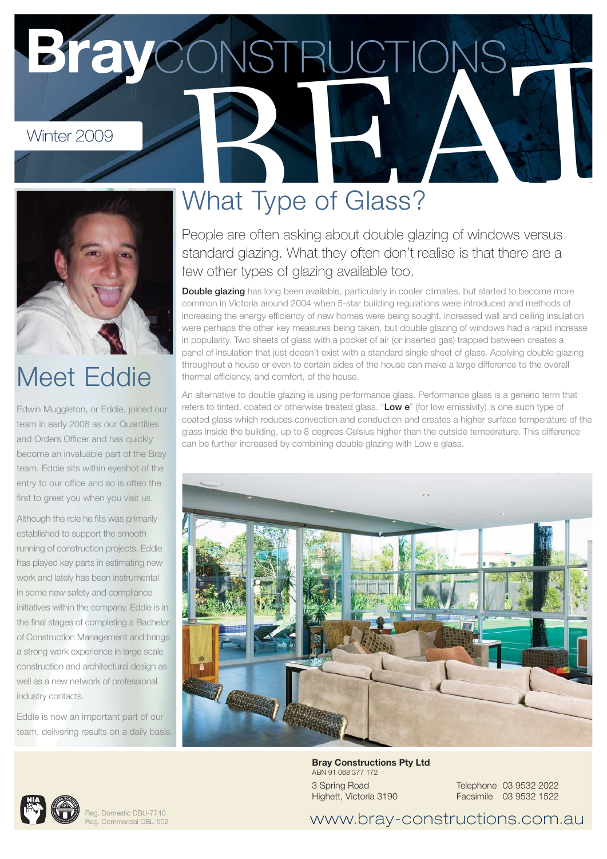# Winter 2009<br>Winter 2009<br>What Type of Glass?



# Meet Eddie

Edwin Muggleton, or Eddie, joined our team in early 2008 as our Quantities and Orders Officer and has quickly become an invaluable part of the Bray team. Eddie sits within eyeshot of the entry to our office and so is often the first to greet you when you visit us.

Although the role he fills was primarily established to support the smooth running of construction projects, Eddie has played key parts in estimating new work and lately has been instrumental in some new safety and compliance initiatives within the company. Eddie is in the final stages of completing a Bachelor of Construction Management and brings a strong work experience in large scale construction and architectural design as well as a new network of professional industry contacts.

Eddie is now an important part of our team, delivering results on a daily basis.

# What Type of Glass?

People are often asking about double glazing of windows versus standard glazing. What they often don't realise is that there are a few other types of glazing available too.

**Double glazing** has long been available, particularly in cooler climates, but started to become more common in Victoria around 2004 when 5-star building regulations were introduced and methods of increasing the energy efficiency of new homes were being sought. Increased wall and ceiling insulation were perhaps the other key measures being taken, but double glazing of windows had a rapid increase in popularity. Two sheets of glass with a pocket of air (or inserted gas) trapped between creates a panel of insulation that just doesn't exist with a standard single sheet of glass. Applying double glazing throughout a house or even to certain sides of the house can make a large difference to the overall thermal efficiency, and comfort, of the house.

An alternative to double glazing is using performance glass. Performance glass is a generic term that refers to tinted, coated or otherwise treated glass. "**Low e**" (for low emissivity) is one such type of coated glass which reduces convection and conduction and creates a higher surface temperature of the glass inside the building, up to 8 degrees Celsius higher than the outside temperature. This difference can be further increased by combining double glazing with Low e glass.



**Bray Constructions Pty Ltd** ABN 91 068 377 172 3 Spring Road Highett, Victoria 3190

Telephone 03 9532 2022 Facsimile 03 9532 1522



www.bray-constructions.com.au